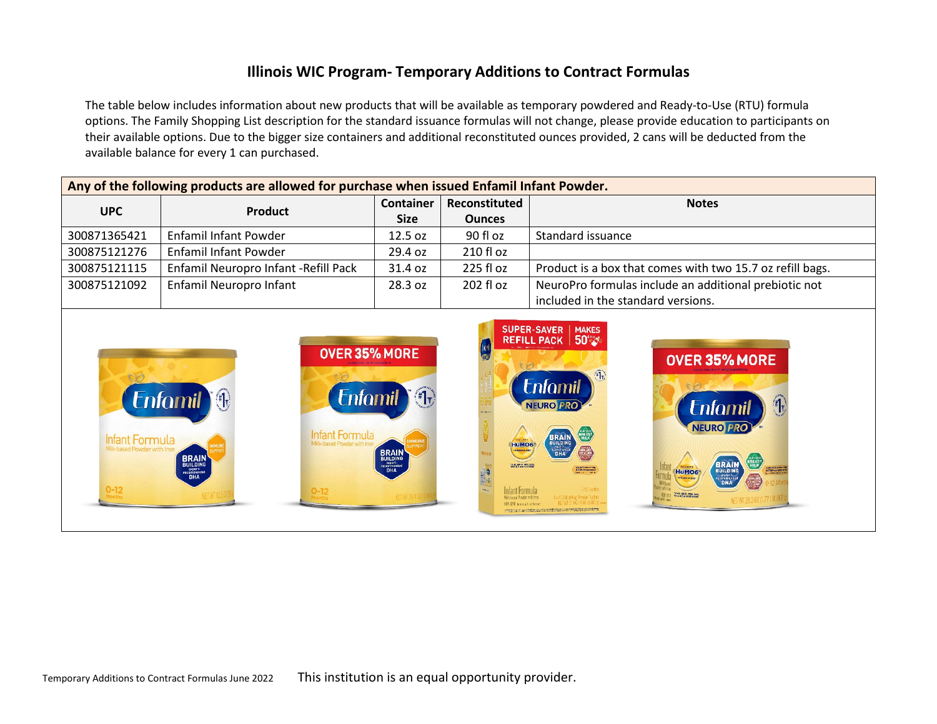## **Illinois WIC Program- Temporary Additions to Contract Formulas**

The table below includes information about new products that will be available as temporary powdered and Ready-to-Use (RTU) formula options. The Family Shopping List description for the standard issuance formulas will not change, please provide education to participants on their available options. Due to the bigger size containers and additional reconstituted ounces provided, 2 cans will be deducted from the available balance for every 1 can purchased.

| Any of the following products are allowed for purchase when issued Enfamil Infant Powder. |                                       |                  |               |                                                           |  |
|-------------------------------------------------------------------------------------------|---------------------------------------|------------------|---------------|-----------------------------------------------------------|--|
| <b>UPC</b>                                                                                | <b>Product</b>                        | <b>Container</b> | Reconstituted | <b>Notes</b>                                              |  |
|                                                                                           |                                       | <b>Size</b>      | <b>Ounces</b> |                                                           |  |
| 300871365421                                                                              | Enfamil Infant Powder                 | 12.5 oz          | 90 fl oz      | Standard issuance                                         |  |
| 300875121276                                                                              | Enfamil Infant Powder                 | 29.4 oz          | 210 fl oz     |                                                           |  |
| 300875121115                                                                              | Enfamil Neuropro Infant - Refill Pack | 31.4 oz          | 225 fl oz     | Product is a box that comes with two 15.7 oz refill bags. |  |
| 300875121092                                                                              | Enfamil Neuropro Infant               | 28.3 oz          | 202 fl oz     | NeuroPro formulas include an additional prebiotic not     |  |
|                                                                                           |                                       |                  |               | included in the standard versions.                        |  |

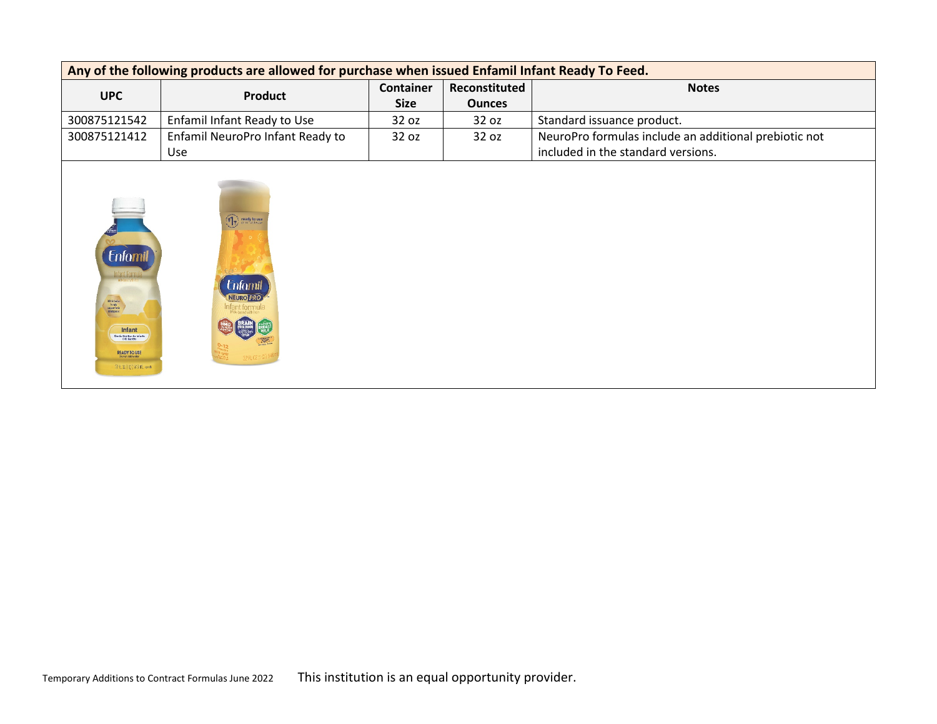| Any of the following products are allowed for purchase when issued Enfamil Infant Ready To Feed. |                                  |                            |               |                                                       |  |
|--------------------------------------------------------------------------------------------------|----------------------------------|----------------------------|---------------|-------------------------------------------------------|--|
| <b>UPC</b>                                                                                       | <b>Product</b>                   | Reconstituted<br>Container |               | <b>Notes</b>                                          |  |
|                                                                                                  |                                  | <b>Size</b>                | <b>Ounces</b> |                                                       |  |
| 300875121542                                                                                     | Enfamil Infant Ready to Use      | 32 oz                      | 32 oz         | Standard issuance product.                            |  |
| 300875121412                                                                                     | Enfamil NeuroPro Infant Ready to | 32 oz                      | 32 oz         | NeuroPro formulas include an additional prebiotic not |  |
|                                                                                                  | Use                              |                            |               | included in the standard versions.                    |  |

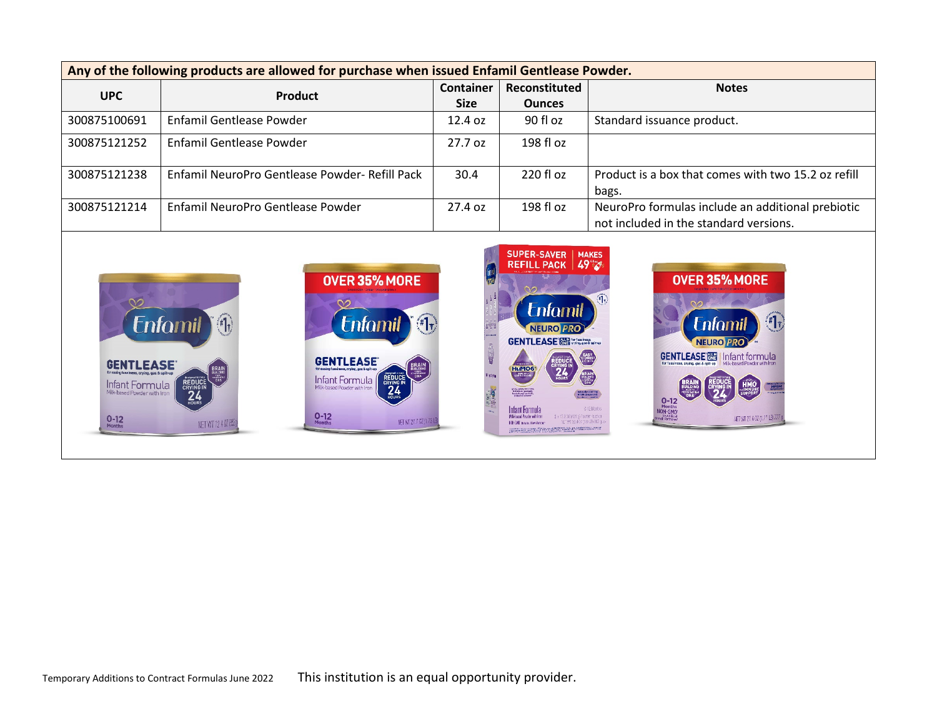| Any of the following products are allowed for purchase when issued Enfamil Gentlease Powder. |                                                |             |                                                                        |                                                                                             |  |
|----------------------------------------------------------------------------------------------|------------------------------------------------|-------------|------------------------------------------------------------------------|---------------------------------------------------------------------------------------------|--|
| <b>UPC</b>                                                                                   | Product                                        | Container   | <b>Reconstituted</b>                                                   | <b>Notes</b>                                                                                |  |
|                                                                                              |                                                | <b>Size</b> | <b>Ounces</b>                                                          |                                                                                             |  |
| 300875100691                                                                                 | <b>Enfamil Gentlease Powder</b>                | 12.4 oz     | 90 fl oz                                                               | Standard issuance product.                                                                  |  |
| 300875121252                                                                                 | <b>Enfamil Gentlease Powder</b>                | 27.7 oz     | 198 fl oz                                                              |                                                                                             |  |
| 300875121238                                                                                 | Enfamil NeuroPro Gentlease Powder- Refill Pack | 30.4        | 220 fl oz                                                              | Product is a box that comes with two 15.2 oz refill<br>bags.                                |  |
| 300875121214                                                                                 | Enfamil NeuroPro Gentlease Powder              | 27.4 oz     | 198 fl oz                                                              | NeuroPro formulas include an additional prebiotic<br>not included in the standard versions. |  |
|                                                                                              | AUCA APM LIARE                                 |             | SUPER-SAVER   MAKES<br>REFILL PACK 49 2<br><b>BARBA MARKATA YA KUN</b> | AUCA ARM LIADE                                                                              |  |